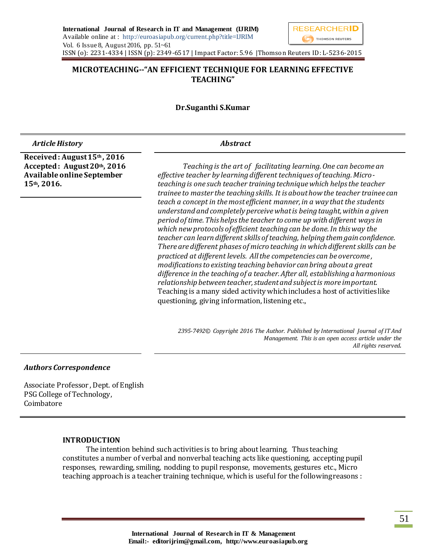# **MICROTEACHING--"AN EFFICIENT TECHNIQUE FOR LEARNING EFFECTIVE TEACHING"**

### **Dr.Suganthi S.Kumar**

| <b>Article History</b>                                                                                  | <b>Abstract</b>                                                                                                                                                                                                                                                                                                                                                                                                                                                                                                                                                                                                                                                                                                                                                                                                                                                                                                                                                                                                                                                                                                                                                                                                                 |  |  |  |  |  |  |
|---------------------------------------------------------------------------------------------------------|---------------------------------------------------------------------------------------------------------------------------------------------------------------------------------------------------------------------------------------------------------------------------------------------------------------------------------------------------------------------------------------------------------------------------------------------------------------------------------------------------------------------------------------------------------------------------------------------------------------------------------------------------------------------------------------------------------------------------------------------------------------------------------------------------------------------------------------------------------------------------------------------------------------------------------------------------------------------------------------------------------------------------------------------------------------------------------------------------------------------------------------------------------------------------------------------------------------------------------|--|--|--|--|--|--|
| Received: August 15th, 2016<br>Accepted: August 20th, 2016<br>Available online September<br>15th, 2016. | Teaching is the art of facilitating learning. One can become an<br>effective teacher by learning different techniques of teaching. Micro-<br>teaching is one such teacher training technique which helps the teacher<br>trainee to master the teaching skills. It is about how the teacher trainee can<br>teach a concept in the most efficient manner, in a way that the students<br>understand and completely perceive what is being taught, within a given<br>period of time. This helps the teacher to come up with different ways in<br>which new protocols of efficient teaching can be done. In this way the<br>teacher can learn different skills of teaching, helping them gain confidence.<br>There are different phases of micro teaching in which different skills can be<br>practiced at different levels. All the competencies can be overcome,<br>modifications to existing teaching behavior can bring about a great<br>difference in the teaching of a teacher. After all, establishing a harmonious<br>relationship between teacher, student and subject is more important.<br>Teaching is a many sided activity which includes a host of activities like<br>questioning, giving information, listening etc., |  |  |  |  |  |  |
|                                                                                                         | 2395-7492 Copyright 2016 The Author. Published by International Journal of IT And<br>Management. This is an open access article under the                                                                                                                                                                                                                                                                                                                                                                                                                                                                                                                                                                                                                                                                                                                                                                                                                                                                                                                                                                                                                                                                                       |  |  |  |  |  |  |

*All rights reserved.*

### *Authors Correspondence*

Associate Professor , Dept. of English PSG College of Technology, Coimbatore

#### **INTRODUCTION**

 The intention behind such activities is to bring about learning. Thus teaching constitutes a number of verbal and nonverbal teaching acts like questioning, accepting pupil responses, rewarding, smiling, nodding to pupil response, movements, gestures etc., Micro teaching approach is a teacher training technique, which is useful for the following reasons :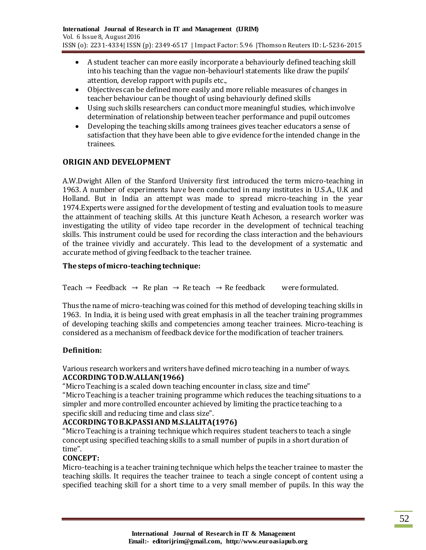- A student teacher can more easily incorporate a behaviourly defined teaching skill into his teaching than the vague non-behaviourl statements like draw the pupils' attention, develop rapport with pupils etc.,
- Objectives can be defined more easily and more reliable measures of changes in teacher behaviour can be thought of using behaviourly defined skills
- Using such skills researchers can conduct more meaningful studies, which involve determination of relationship between teacher performance and pupil outcomes
- Developing the teaching skills among trainees gives teacher educators a sense of satisfaction that they have been able to give evidence for the intended change in the trainees.

# **ORIGIN AND DEVELOPMENT**

A.W.Dwight Allen of the Stanford University first introduced the term micro-teaching in 1963. A number of experiments have been conducted in many institutes in U.S.A., U.K and Holland. But in India an attempt was made to spread micro-teaching in the year 1974.Experts were assigned for the development of testing and evaluation tools to measure the attainment of teaching skills. At this juncture Keath Acheson, a research worker was investigating the utility of video tape recorder in the development of technical teaching skills. This instrument could be used for recording the class interaction and the behaviours of the trainee vividly and accurately. This lead to the development of a systematic and accurate method of giving feedback to the teacher trainee.

# **The steps of micro-teaching technique:**

Teach  $\rightarrow$  Feedback  $\rightarrow$  Re plan  $\rightarrow$  Re teach  $\rightarrow$  Re feedback were formulated.

Thus the name of micro-teaching was coined for this method of developing teaching skills in 1963. In India, it is being used with great emphasis in all the teacher training programmes of developing teaching skills and competencies among teacher trainees. Micro-teaching is considered as a mechanism of feedback device for the modification of teacher trainers.

# **Definition:**

Various research workers and writers have defined micro teaching in a number of ways. **ACCORDING TO D.W.ALLAN(1966)**

"Micro Teaching is a scaled down teaching encounter in class, size and time"

"Micro Teaching is a teacher training programme which reduces the teaching situations to a simpler and more controlled encounter achieved by limiting the practice teaching to a specific skill and reducing time and class size".

# **ACCORDING TO B.K.PASSI AND M.S.LALITA(1976)**

"Micro Teaching is a training technique which requires student teachers to teach a single concept using specified teaching skills to a small number of pupils in a short duration of time".

# **CONCEPT:**

Micro-teaching is a teacher training technique which helps the teacher trainee to master the teaching skills. It requires the teacher trainee to teach a single concept of content using a specified teaching skill for a short time to a very small member of pupils. In this way the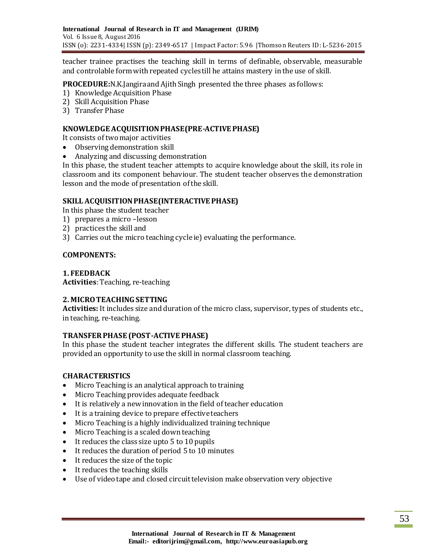teacher trainee practises the teaching skill in terms of definable, observable, measurable and controlable form with repeated cycles till he attains mastery in the use of skill.

**PROCEDURE:**N.K.Jangira and Ajith Singh presented the three phases as follows:

- 1) Knowledge Acquisition Phase
- 2) Skill Acquisition Phase
- 3) Transfer Phase

### **KNOWLEDGE ACQUISITION PHASE(PRE-ACTIVE PHASE)**

It consists of two major activities

- Observing demonstration skill
- Analyzing and discussing demonstration

In this phase, the student teacher attempts to acquire knowledge about the skill, its role in classroom and its component behaviour. The student teacher observes the demonstration lesson and the mode of presentation of the skill.

### **SKILL ACQUISITION PHASE(INTERACTIVE PHASE)**

In this phase the student teacher

- 1) prepares a micro –lesson
- 2) practices the skill and
- 3) Carries out the micro teaching cycle ie) evaluating the performance.

### **COMPONENTS:**

### **1. FEEDBACK**

**Activities**: Teaching, re-teaching

# **2. MICRO TEACHING SETTING**

**Activities:** It includes size and duration of the micro class, supervisor, types of students etc., in teaching, re-teaching.

# **TRANSFER PHASE (POST-ACTIVE PHASE)**

In this phase the student teacher integrates the different skills. The student teachers are provided an opportunity to use the skill in normal classroom teaching.

# **CHARACTERISTICS**

- Micro Teaching is an analytical approach to training
- Micro Teaching provides adequate feedback
- It is relatively a new innovation in the field of teacher education
- It is a training device to prepare effective teachers
- Micro Teaching is a highly individualized training technique
- Micro Teaching is a scaled down teaching
- It reduces the class size upto 5 to 10 pupils
- It reduces the duration of period 5 to 10 minutes
- It reduces the size of the topic
- It reduces the teaching skills
- Use of video tape and closed circuit television make observation very objective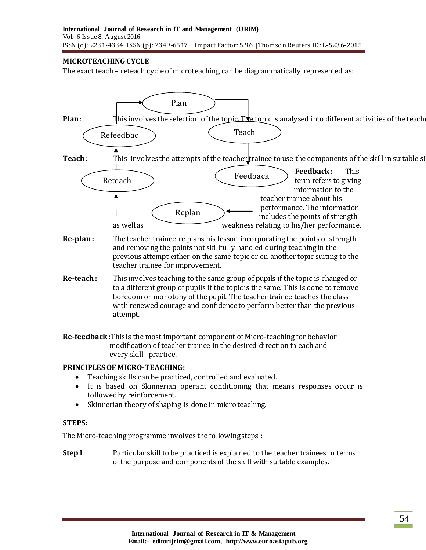# **MICROTEACHING CYCLE**

The exact teach – reteach cycle of microteaching can be diagrammatically represented as:



- and removing the points not skillfully handled during teaching in the previous attempt either on the same topic or on another topic suiting to the teacher trainee for improvement.
- **Re-teach :** This involves teaching to the same group of pupils if the topic is changed or to a different group of pupils if the topic is the same. This is done to remove boredom or monotony of the pupil. The teacher trainee teaches the class with renewed courage and confidence to perform better than the previous attempt.

**Re-feedback :**This is the most important component of Micro-teaching for behavior modification of teacher trainee in the desired direction in each and every skill practice.

# **PRINCIPLES OF MICRO-TEACHING:**

- Teaching skills can be practiced, controlled and evaluated.
- It is based on Skinnerian operant conditioning that means responses occur is followed by reinforcement.
- Skinnerian theory of shaping is done in micro teaching.

# **STEPS:**

The Micro-teaching programme involves the following steps :

**Step I** Particular skill to be practiced is explained to the teacher trainees in terms of the purpose and components of the skill with suitable examples.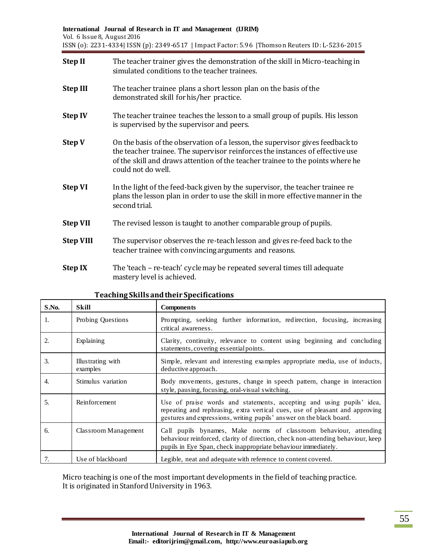| <b>Step II</b>   | The teacher trainer gives the demonstration of the skill in Micro-teaching in<br>simulated conditions to the teacher trainees.                                                                                                                                         |
|------------------|------------------------------------------------------------------------------------------------------------------------------------------------------------------------------------------------------------------------------------------------------------------------|
| <b>Step III</b>  | The teacher trainee plans a short lesson plan on the basis of the<br>demonstrated skill for his/her practice.                                                                                                                                                          |
| <b>Step IV</b>   | The teacher trainee teaches the lesson to a small group of pupils. His lesson<br>is supervised by the supervisor and peers.                                                                                                                                            |
| <b>Step V</b>    | On the basis of the observation of a lesson, the supervisor gives feedback to<br>the teacher trainee. The supervisor reinforces the instances of effective use<br>of the skill and draws attention of the teacher trainee to the points where he<br>could not do well. |
| <b>Step VI</b>   | In the light of the feed-back given by the supervisor, the teacher trainee re<br>plans the lesson plan in order to use the skill in more effective manner in the<br>second trial.                                                                                      |
| <b>Step VII</b>  | The revised lesson is taught to another comparable group of pupils.                                                                                                                                                                                                    |
| <b>Step VIII</b> | The supervisor observes the re-teach lesson and gives re-feed back to the<br>teacher trainee with convincing arguments and reasons.                                                                                                                                    |
| <b>Step IX</b>   | The 'teach – re-teach' cycle may be repeated several times till adequate<br>mastery level is achieved.                                                                                                                                                                 |

| S.No. | Skill                         | <b>Components</b>                                                                                                                                                                                                             |
|-------|-------------------------------|-------------------------------------------------------------------------------------------------------------------------------------------------------------------------------------------------------------------------------|
| 1.    | Probing Questions             | Prompting, seeking further information, redirection, focusing, increasing<br>critical awareness.                                                                                                                              |
| 2.    | Explaining                    | Clarity, continuity, relevance to content using beginning and concluding<br>statements, covering essential points.                                                                                                            |
| 3.    | Illustrating with<br>examples | Simple, relevant and interesting examples appropriate media, use of inducts,<br>deductive approach.                                                                                                                           |
| 4.    | Stimulus variation            | Body movements, gestures, change in speech pattern, change in interaction<br>style, pausing, focusing, oral-visual switching.                                                                                                 |
| .5.   | Reinforcement                 | Use of praise words and statements, accepting and using pupils' idea,<br>repeating and rephrasing, extra vertical cues, use of pleasant and approving<br>gestures and expressions, writing pupils' answer on the black board. |
| 6.    | Classroom Management          | Call pupils bynames, Make norms of classroom behaviour, attending<br>behaviour reinforced, clarity of direction, check non-attending behaviour, keep<br>pupils in Eye Span, check inappropriate behaviour immediately.        |
| 7.    | Use of blackboard             | Legible, neat and adequate with reference to content covered.                                                                                                                                                                 |

# **Teaching Skills and their Specifications**

Micro teaching is one of the most important developments in the field of teaching practice. It is originated in Stanford University in 1963.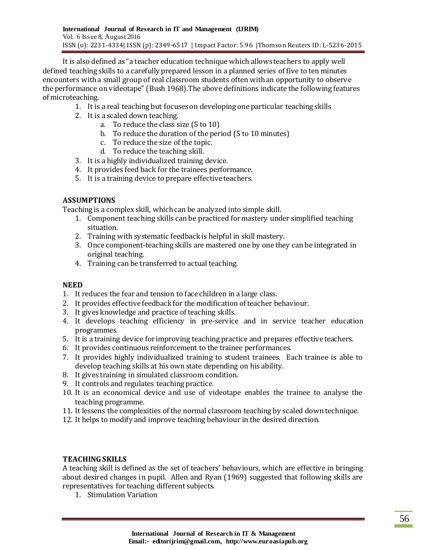It is also defined as "a teacher education technique which allows teachers to apply well defined teaching skills to a carefully prepared lesson in a planned series of five to ten minutes encounters with a small group of real classroom students often with an opportunity to observe the performance on videotape" (Bush 1968).The above definitions indicate the following features of microteaching.

- 1. It is a real teaching but focuses on developing one particular teaching skills
- 2. It is a scaled down teaching.
	- a. To reduce the class size (5 to 10)
	- b. To reduce the duration of the period (5 to 10 minutes)
	- c. To reduce the size of the topic.
	- d. To reduce the teaching skill.
- 3. It is a highly individualized training device.
- 4. It provides feed back for the trainees performance.
- 5. It is a training device to prepare effective teachers.

# **ASSUMPTIONS**

Teaching is a complex skill, which can be analyzed into simple skill.

- 1. Component teaching skills can be practiced for mastery under simplified teaching situation.
- 2. Training with systematic feedback is helpful in skill mastery.
- 3. Once component-teaching skills are mastered one by one they can be integrated in original teaching.
- 4. Training can be transferred to actual teaching.

# **NEED**

- 1. It reduces the fear and tension to face children in a large class.
- 2. It provides effective feedback for the modification of teacher behaviour.
- 3. It gives knowledge and practice of teaching skills.
- 4. It develops teaching efficiency in pre-service and in service teacher education programmes.
- 5. It is a training device for improving teaching practice and prepares effective teachers.
- 6. It provides continuous reinforcement to the trainee performances.
- 7. It provides highly individualized training to student trainees. Each trainee is able to develop teaching skills at his own state depending on his ability.
- 8. It gives training in simulated classroom condition.
- 9. It controls and regulates teaching practice.
- 10. It is an economical device and use of videotape enables the trainee to analyse the teaching programme.
- 11. It lessens the complexities of the normal classroom teaching by scaled down technique.
- 12. It helps to modify and improve teaching behaviour in the desired direction.

# **TEACHING SKILLS**

A teaching skill is defined as the set of teachers' behaviours, which are effective in bringing about desired changes in pupil. Allen and Ryan (1969) suggested that following skills are representatives for teaching different subjects.

1. Stimulation Variation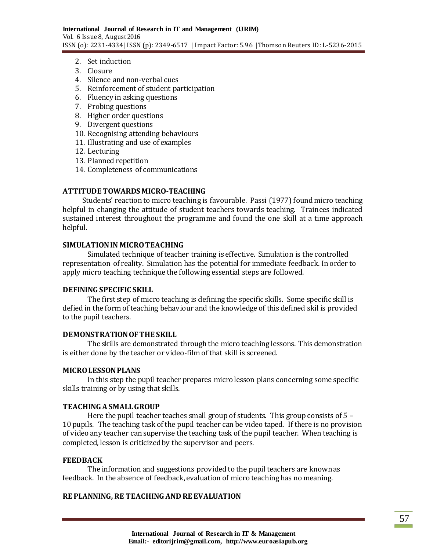- 2. Set induction
- 3. Closure
- 4. Silence and non-verbal cues
- 5. Reinforcement of student participation
- 6. Fluency in asking questions
- 7. Probing questions
- 8. Higher order questions
- 9. Divergent questions
- 10. Recognising attending behaviours
- 11. Illustrating and use of examples
- 12. Lecturing
- 13. Planned repetition
- 14. Completeness of communications

#### **ATTITUDE TOWARDS MICRO-TEACHING**

 Students' reaction to micro teaching is favourable. Passi (1977) found micro teaching helpful in changing the attitude of student teachers towards teaching. Trainees indicated sustained interest throughout the programme and found the one skill at a time approach helpful.

#### **SIMULATION IN MICRO TEACHING**

Simulated technique of teacher training is effective. Simulation is the controlled representation of reality. Simulation has the potential for immediate feedback. In order to apply micro teaching technique the following essential steps are followed.

#### **DEFINING SPECIFIC SKILL**

The first step of micro teaching is defining the specific skills. Some specific skill is defied in the form of teaching behaviour and the knowledge of this defined skil is provided to the pupil teachers.

#### **DEMONSTRATION OF THE SKILL**

The skills are demonstrated through the micro teaching lessons. This demonstration is either done by the teacher or video-film of that skill is screened.

#### **MICRO LESSON PLANS**

In this step the pupil teacher prepares micro lesson plans concerning some specific skills training or by using that skills.

#### **TEACHING A SMALL GROUP**

Here the pupil teacher teaches small group of students. This group consists of 5 – 10 pupils. The teaching task of the pupil teacher can be video taped. If there is no provision of video any teacher can supervise the teaching task of the pupil teacher. When teaching is completed, lesson is criticized by the supervisor and peers.

#### **FEEDBACK**

The information and suggestions provided to the pupil teachers are known as feedback. In the absence of feedback, evaluation of micro teaching has no meaning.

### **RE PLANNING, RE TEACHING AND RE EVALUATION**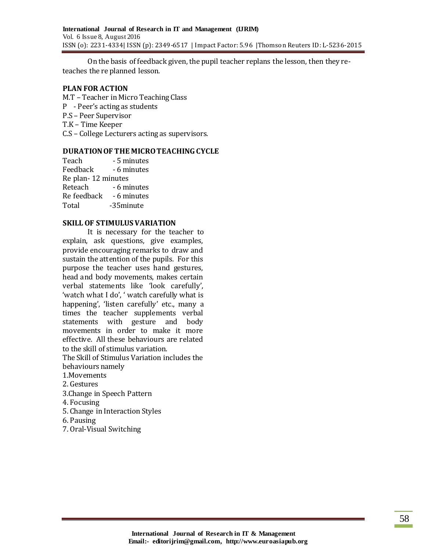On the basis of feedback given, the pupil teacher replans the lesson, then they reteaches the re planned lesson.

#### **PLAN FOR ACTION**

- M.T Teacher in Micro Teaching Class
- P Peer's acting as students
- P.S Peer Supervisor
- T.K Time Keeper
- C.S College Lecturers acting as supervisors.

### **DURATION OF THE MICRO TEACHING CYCLE**

| Teach                | - 5 minutes |
|----------------------|-------------|
| Feedback             | - 6 minutes |
| Re plan - 12 minutes |             |
| Reteach              | - 6 minutes |
| Re feedback          | - 6 minutes |
| Total                | -35minute   |

#### **SKILL OF STIMULUS VARIATION**

It is necessary for the teacher to explain, ask questions, give examples, provide encouraging remarks to draw and sustain the attention of the pupils. For this purpose the teacher uses hand gestures, head and body movements, makes certain verbal statements like 'look carefully', 'watch what I do', ' watch carefully what is happening', 'listen carefully' etc., many a times the teacher supplements verbal statements with gesture and body movements in order to make it more effective. All these behaviours are related to the skill of stimulus variation.

The Skill of Stimulus Variation includes the behaviours namely

- 1.Movements
- 2. Gestures
- 3.Change in Speech Pattern
- 4. Focusing
- 5. Change in Interaction Styles
- 6. Pausing
- 7. Oral-Visual Switching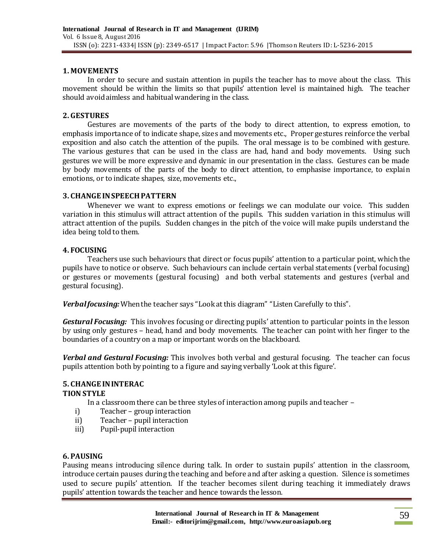### **1. MOVEMENTS**

In order to secure and sustain attention in pupils the teacher has to move about the class. This movement should be within the limits so that pupils' attention level is maintained high. The teacher should avoid aimless and habitual wandering in the class.

### **2. GESTURES**

Gestures are movements of the parts of the body to direct attention, to express emotion, to emphasis importance of to indicate shape, sizes and movements etc., Proper gestures reinforce the verbal exposition and also catch the attention of the pupils. The oral message is to be combined with gesture. The various gestures that can be used in the class are had, hand and body movements. Using such gestures we will be more expressive and dynamic in our presentation in the class. Gestures can be made by body movements of the parts of the body to direct attention, to emphasise importance, to explain emotions, or to indicate shapes, size, movements etc.,

### **3. CHANGE IN SPEECH PATTERN**

Whenever we want to express emotions or feelings we can modulate our voice. This sudden variation in this stimulus will attract attention of the pupils. This sudden variation in this stimulus will attract attention of the pupils. Sudden changes in the pitch of the voice will make pupils understand the idea being told to them.

### **4. FOCUSING**

Teachers use such behaviours that direct or focus pupils' attention to a particular point, which the pupils have to notice or observe. Such behaviours can include certain verbal statements (verbal focusing) or gestures or movements (gestural focusing) and both verbal statements and gestures (verbal and gestural focusing).

*Verbal focusing:*When the teacher says "Look at this diagram" "Listen Carefully to this".

*Gestural Focusing:* This involves focusing or directing pupils' attention to particular points in the lesson by using only gestures – head, hand and body movements. The teacher can point with her finger to the boundaries of a country on a map or important words on the blackboard.

*Verbal and Gestural Focusing:* This involves both verbal and gestural focusing. The teacher can focus pupils attention both by pointing to a figure and saying verbally 'Look at this figure'.

# **5. CHANGE IN INTERAC**

# **TION STYLE**

In a classroom there can be three styles of interaction among pupils and teacher –

- i) Teacher group interaction
- ii) Teacher pupil interaction
- iii) Pupil-pupil interaction

# **6. PAUSING**

Pausing means introducing silence during talk. In order to sustain pupils' attention in the classroom, introduce certain pauses during the teaching and before and after asking a question. Silence is sometimes used to secure pupils' attention. If the teacher becomes silent during teaching it immediately draws pupils' attention towards the teacher and hence towards the lesson.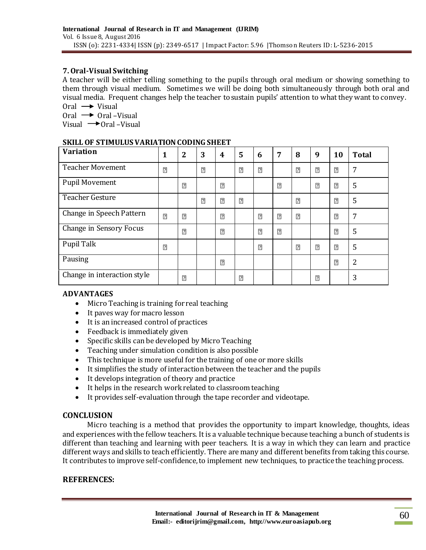# **7. Oral-Visual Switching**

A teacher will be either telling something to the pupils through oral medium or showing something to them through visual medium. Sometimes we will be doing both simultaneously through both oral and visual media. Frequent changes help the teacher to sustain pupils' attention to what they want to convey. Oral  $\rightarrow$  Visual

Oral  $\rightarrow$  Oral -Visual

Visual  $\rightarrow$  Oral –Visual

### **SKILL OF STIMULUS VARIATION CODING SHEET**

| <b>Variation</b>            | 1              | $\boldsymbol{2}$ | 3              | 4              | 5              | 6              | 7              | 8              | 9              | 10             | <b>Total</b> |
|-----------------------------|----------------|------------------|----------------|----------------|----------------|----------------|----------------|----------------|----------------|----------------|--------------|
| <b>Teacher Movement</b>     | $\overline{2}$ |                  | $\overline{?}$ |                | $\overline{2}$ | $\overline{?}$ |                | $\overline{?}$ | $\overline{?}$ | $\boxed{?}$    | 7            |
| <b>Pupil Movement</b>       |                | $\overline{?}$   |                | $\overline{?}$ |                |                | $\overline{?}$ |                | $\overline{?}$ | $\overline{2}$ | 5            |
| <b>Teacher Gesture</b>      |                |                  | $\overline{?}$ | $\overline{?}$ | $\overline{?}$ |                |                | $\overline{?}$ |                | $\overline{?}$ | 5            |
| Change in Speech Pattern    | $\overline{?}$ | $\overline{?}$   |                | $\overline{?}$ |                | $\overline{2}$ | $\overline{2}$ | $\overline{?}$ |                | $\overline{?}$ | 7            |
| Change in Sensory Focus     |                | $\overline{?}$   |                | $\overline{?}$ |                | $\overline{2}$ | $\overline{?}$ |                |                | $\overline{?}$ | 5            |
| Pupil Talk                  | $\overline{2}$ |                  |                |                |                | $\overline{?}$ |                | $\overline{?}$ | $\overline{?}$ | $\sqrt{2}$     | 5            |
| Pausing                     |                |                  |                | $\overline{?}$ |                |                |                |                |                | $\overline{?}$ | 2            |
| Change in interaction style |                | $\overline{2}$   |                |                | $\overline{2}$ |                |                |                | $\overline{?}$ |                | 3            |

# **ADVANTAGES**

- Micro Teaching is training for real teaching
- It paves way for macro lesson
- It is an increased control of practices
- Feedback is immediately given
- Specific skills can be developed by Micro Teaching
- Teaching under simulation condition is also possible
- This technique is more useful for the training of one or more skills
- It simplifies the study of interaction between the teacher and the pupils
- It develops integration of theory and practice
- It helps in the research work related to classroom teaching
- It provides self-evaluation through the tape recorder and videotape.

# **CONCLUSION**

 Micro teaching is a method that provides the opportunity to impart knowledge, thoughts, ideas and experiences with the fellow teachers. It is a valuable technique because teaching a bunch of students is different than teaching and learning with peer teachers. It is a way in which they can learn and practice different ways and skills to teach efficiently. There are many and different benefits from taking this course. It contributes to improve self-confidence, to implement new techniques, to practice the teaching process.

# **REFERENCES:**